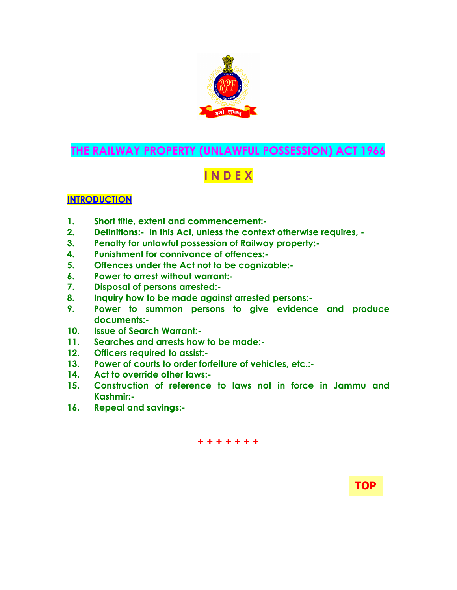

## THE RAILWAY PROPERTY (UNLAWFUL POSSESSION) ACT 1966

# I N D E X

## **INTRODUCTION**

- 1. Short title, extent and commencement:-
- 2. Definitions:- In this Act, unless the context otherwise requires, -
- 3. Penalty for unlawful possession of Railway property:-
- 4. Punishment for connivance of offences:-
- 5. Offences under the Act not to be cognizable:-
- 6. Power to arrest without warrant:-
- 7. Disposal of persons arrested:-
- 8. Inquiry how to be made against arrested persons:-
- 9. Power to summon persons to give evidence and produce documents:-
- 10. Issue of Search Warrant:-
- 11. Searches and arrests how to be made:-
- 12. Officers required to assist:-
- 13. Power of courts to order forfeiture of vehicles, etc.:-
- 14. Act to override other laws:-
- 15. Construction of reference to laws not in force in Jammu and Kashmir:-

+ + + + + + +

16. Repeal and savings:-

TOP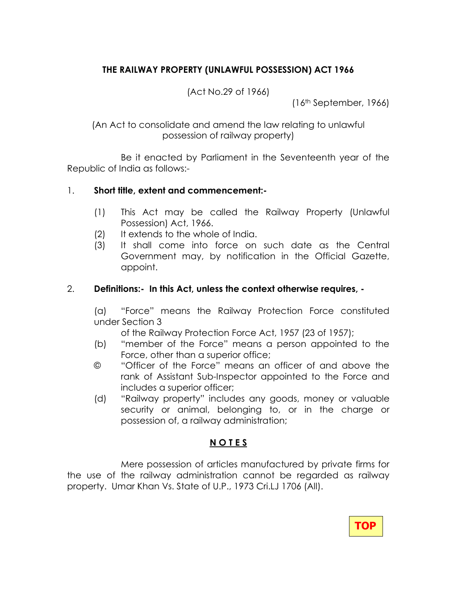## THE RAILWAY PROPERTY (UNLAWFUL POSSESSION) ACT 1966

(Act No.29 of 1966)

(16th September, 1966)

(An Act to consolidate and amend the law relating to unlawful possession of railway property)

 Be it enacted by Parliament in the Seventeenth year of the Republic of India as follows:-

#### 1. Short title, extent and commencement:-

- (1) This Act may be called the Railway Property (Unlawful Possession) Act, 1966.
- (2) It extends to the whole of India.
- (3) It shall come into force on such date as the Central Government may, by notification in the Official Gazette, appoint.

#### 2. Definitions:- In this Act, unless the context otherwise requires, -

(a) "Force" means the Railway Protection Force constituted under Section 3

of the Railway Protection Force Act, 1957 (23 of 1957);

- (b) "member of the Force" means a person appointed to the Force, other than a superior office;
- © "Officer of the Force" means an officer of and above the rank of Assistant Sub-Inspector appointed to the Force and includes a superior officer;
- (d) "Railway property" includes any goods, money or valuable security or animal, belonging to, or in the charge or possession of, a railway administration;

#### N O T E S

 Mere possession of articles manufactured by private firms for the use of the railway administration cannot be regarded as railway property. Umar Khan Vs. State of U.P., 1973 Cri.LJ 1706 (All).

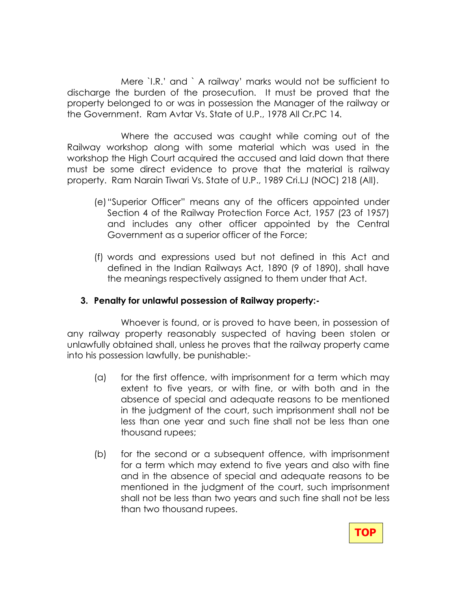Mere `I.R.' and ` A railway' marks would not be sufficient to discharge the burden of the prosecution. It must be proved that the property belonged to or was in possession the Manager of the railway or the Government. Ram Avtar Vs. State of U.P., 1978 All Cr.PC 14.

 Where the accused was caught while coming out of the Railway workshop along with some material which was used in the workshop the High Court acquired the accused and laid down that there must be some direct evidence to prove that the material is railway property. Ram Narain Tiwari Vs. State of U.P., 1989 Cri.LJ (NOC) 218 (All).

- (e) "Superior Officer" means any of the officers appointed under Section 4 of the Railway Protection Force Act, 1957 (23 of 1957) and includes any other officer appointed by the Central Government as a superior officer of the Force;
- (f) words and expressions used but not defined in this Act and defined in the Indian Railways Act, 1890 (9 of 1890), shall have the meanings respectively assigned to them under that Act.

#### 3. Penalty for unlawful possession of Railway property:-

 Whoever is found, or is proved to have been, in possession of any railway property reasonably suspected of having been stolen or unlawfully obtained shall, unless he proves that the railway property came into his possession lawfully, be punishable:-

- (a) for the first offence, with imprisonment for a term which may extent to five years, or with fine, or with both and in the absence of special and adequate reasons to be mentioned in the judgment of the court, such imprisonment shall not be less than one year and such fine shall not be less than one thousand rupees;
- (b) for the second or a subsequent offence, with imprisonment for a term which may extend to five years and also with fine and in the absence of special and adequate reasons to be mentioned in the judgment of the court, such imprisonment shall not be less than two years and such fine shall not be less than two thousand rupees.

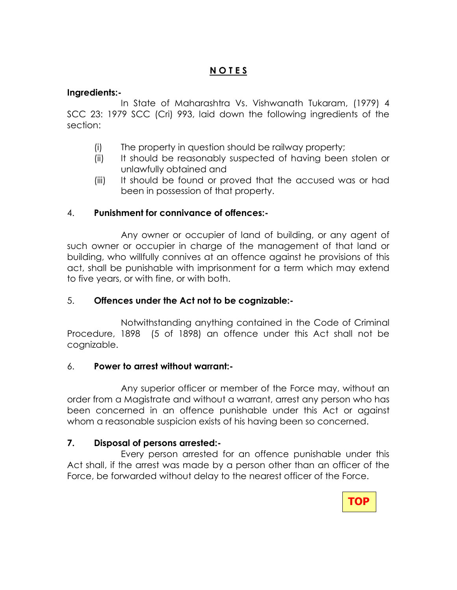#### Ingredients:-

In State of Maharashtra Vs. Vishwanath Tukaram, (1979) 4 SCC 23: 1979 SCC (Cri) 993, laid down the following ingredients of the section:

- (i) The property in question should be railway property;
- (ii) It should be reasonably suspected of having been stolen or unlawfully obtained and
- (iii) It should be found or proved that the accused was or had been in possession of that property.

#### 4. Punishment for connivance of offences:-

 Any owner or occupier of land of building, or any agent of such owner or occupier in charge of the management of that land or building, who willfully connives at an offence against he provisions of this act, shall be punishable with imprisonment for a term which may extend to five years, or with fine, or with both.

#### 5. Offences under the Act not to be cognizable:-

 Notwithstanding anything contained in the Code of Criminal Procedure, 1898 (5 of 1898) an offence under this Act shall not be cognizable.

#### 6. Power to arrest without warrant:-

 Any superior officer or member of the Force may, without an order from a Magistrate and without a warrant, arrest any person who has been concerned in an offence punishable under this Act or against whom a reasonable suspicion exists of his having been so concerned.

#### 7. Disposal of persons arrested:-

 Every person arrested for an offence punishable under this Act shall, if the arrest was made by a person other than an officer of the Force, be forwarded without delay to the nearest officer of the Force.

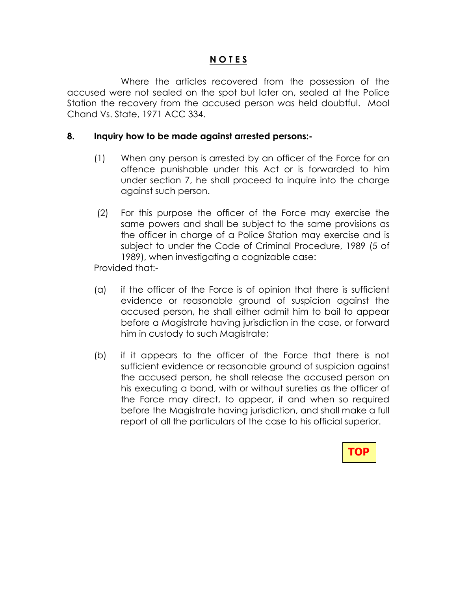Where the articles recovered from the possession of the accused were not sealed on the spot but later on, sealed at the Police Station the recovery from the accused person was held doubtful. Mool Chand Vs. State, 1971 ACC 334.

#### 8. Inquiry how to be made against arrested persons:-

- (1) When any person is arrested by an officer of the Force for an offence punishable under this Act or is forwarded to him under section 7, he shall proceed to inquire into the charge against such person.
- (2) For this purpose the officer of the Force may exercise the same powers and shall be subject to the same provisions as the officer in charge of a Police Station may exercise and is subject to under the Code of Criminal Procedure, 1989 (5 of 1989), when investigating a cognizable case:

Provided that:-

- (a) if the officer of the Force is of opinion that there is sufficient evidence or reasonable ground of suspicion against the accused person, he shall either admit him to bail to appear before a Magistrate having jurisdiction in the case, or forward him in custody to such Magistrate;
- (b) if it appears to the officer of the Force that there is not sufficient evidence or reasonable ground of suspicion against the accused person, he shall release the accused person on his executing a bond, with or without sureties as the officer of the Force may direct, to appear, if and when so required before the Magistrate having jurisdiction, and shall make a full report of all the particulars of the case to his official superior.

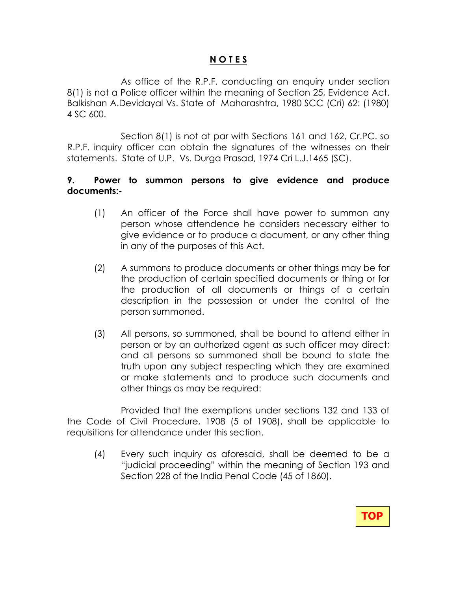As office of the R.P.F. conducting an enquiry under section 8(1) is not a Police officer within the meaning of Section 25, Evidence Act. Balkishan A.Devidayal Vs. State of Maharashtra, 1980 SCC (Cri) 62: (1980) 4 SC 600.

 Section 8(1) is not at par with Sections 161 and 162, Cr.PC. so R.P.F. inquiry officer can obtain the signatures of the witnesses on their statements. State of U.P. Vs. Durga Prasad, 1974 Cri L.J.1465 (SC).

#### 9. Power to summon persons to give evidence and produce documents:-

- (1) An officer of the Force shall have power to summon any person whose attendence he considers necessary either to give evidence or to produce a document, or any other thing in any of the purposes of this Act.
- (2) A summons to produce documents or other things may be for the production of certain specified documents or thing or for the production of all documents or things of a certain description in the possession or under the control of the person summoned.
- (3) All persons, so summoned, shall be bound to attend either in person or by an authorized agent as such officer may direct; and all persons so summoned shall be bound to state the truth upon any subject respecting which they are examined or make statements and to produce such documents and other things as may be required:

 Provided that the exemptions under sections 132 and 133 of the Code of Civil Procedure, 1908 (5 of 1908), shall be applicable to requisitions for attendance under this section.

(4) Every such inquiry as aforesaid, shall be deemed to be a "judicial proceeding" within the meaning of Section 193 and Section 228 of the India Penal Code (45 of 1860).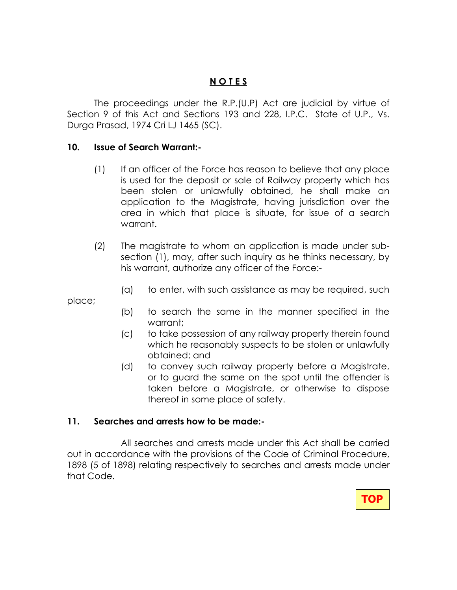The proceedings under the R.P.(U.P) Act are judicial by virtue of Section 9 of this Act and Sections 193 and 228, I.P.C. State of U.P., Vs. Durga Prasad, 1974 Cri LJ 1465 (SC).

#### 10. Issue of Search Warrant:-

- (1) If an officer of the Force has reason to believe that any place is used for the deposit or sale of Railway property which has been stolen or unlawfully obtained, he shall make an application to the Magistrate, having jurisdiction over the area in which that place is situate, for issue of a search warrant.
- (2) The magistrate to whom an application is made under subsection (1), may, after such inquiry as he thinks necessary, by his warrant, authorize any officer of the Force:-
	- (a) to enter, with such assistance as may be required, such

place;

- (b) to search the same in the manner specified in the warrant;
- (c) to take possession of any railway property therein found which he reasonably suspects to be stolen or unlawfully obtained; and
- (d) to convey such railway property before a Magistrate, or to guard the same on the spot until the offender is taken before a Magistrate, or otherwise to dispose thereof in some place of safety.

#### 11. Searches and arrests how to be made:-

All searches and arrests made under this Act shall be carried out in accordance with the provisions of the Code of Criminal Procedure, 1898 (5 of 1898) relating respectively to searches and arrests made under that Code.

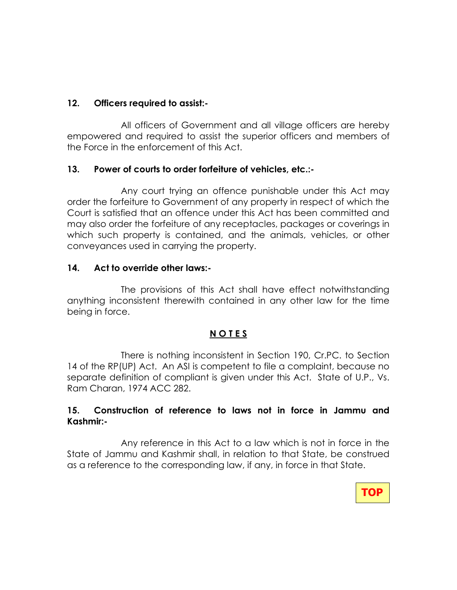#### 12. Officers required to assist:-

 All officers of Government and all village officers are hereby empowered and required to assist the superior officers and members of the Force in the enforcement of this Act.

#### 13. Power of courts to order forfeiture of vehicles, etc.:-

 Any court trying an offence punishable under this Act may order the forfeiture to Government of any property in respect of which the Court is satisfied that an offence under this Act has been committed and may also order the forfeiture of any receptacles, packages or coverings in which such property is contained, and the animals, vehicles, or other conveyances used in carrying the property.

#### 14. Act to override other laws:-

 The provisions of this Act shall have effect notwithstanding anything inconsistent therewith contained in any other law for the time being in force.

#### N O T E S

 There is nothing inconsistent in Section 190, Cr.PC. to Section 14 of the RP(UP) Act. An ASI is competent to file a complaint, because no separate definition of compliant is given under this Act. State of U.P., Vs. Ram Charan, 1974 ACC 282.

#### 15. Construction of reference to laws not in force in Jammu and Kashmir:-

 Any reference in this Act to a law which is not in force in the State of Jammu and Kashmir shall, in relation to that State, be construed as a reference to the corresponding law, if any, in force in that State.